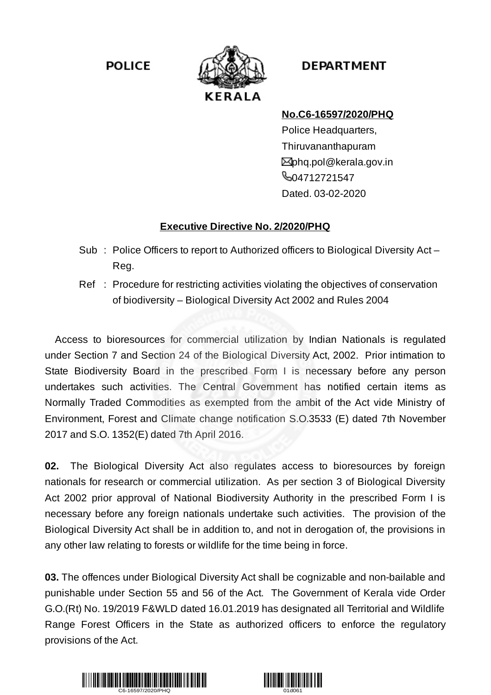**POLICE** 



## **DEPARTMENT**

## **No.C6-16597/2020/PHQ**

Police Headquarters, Thiruvananthapuram **⊠**phq.pol@kerala.gov.in **604712721547** Dated. 03-02-2020

## **Executive Directive No. 2/2020/PHQ**

- Sub : Police Officers to report to Authorized officers to Biological Diversity Act Reg.
- Ref : Procedure for restricting activities violating the objectives of conservation of biodiversity – Biological Diversity Act 2002 and Rules 2004

Access to bioresources for commercial utilization by Indian Nationals is regulated under Section 7 and Section 24 of the Biological Diversity Act, 2002. Prior intimation to State Biodiversity Board in the prescribed Form I is necessary before any person undertakes such activities. The Central Government has notified certain items as Normally Traded Commodities as exempted from the ambit of the Act vide Ministry of Environment, Forest and Climate change notification S.O.3533 (E) dated 7th November 2017 and S.O. 1352(E) dated 7th April 2016.

**02.** The Biological Diversity Act also regulates access to bioresources by foreign nationals for research or commercial utilization. As per section 3 of Biological Diversity Act 2002 prior approval of National Biodiversity Authority in the prescribed Form I is necessary before any foreign nationals undertake such activities. The provision of the Biological Diversity Act shall be in addition to, and not in derogation of, the provisions in any other law relating to forests or wildlife for the time being in force.

**03.** The offences under Biological Diversity Act shall be cognizable and non-bailable and punishable under Section 55 and 56 of the Act. The Government of Kerala vide Order G.O.(Rt) No. 19/2019 F&WLD dated 16.01.2019 has designated all Territorial and Wildlife Range Forest Officers in the State as authorized officers to enforce the regulatory provisions of the Act.